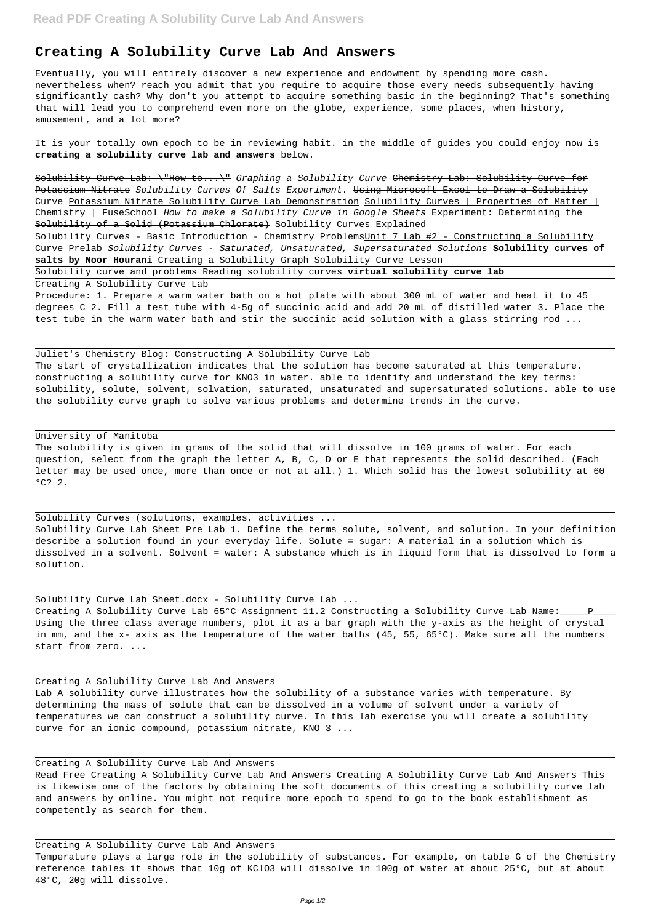## **Creating A Solubility Curve Lab And Answers**

Eventually, you will entirely discover a new experience and endowment by spending more cash. nevertheless when? reach you admit that you require to acquire those every needs subsequently having significantly cash? Why don't you attempt to acquire something basic in the beginning? That's something that will lead you to comprehend even more on the globe, experience, some places, when history, amusement, and a lot more?

Solubility Curve Lab: \"How to...\" Graphing a Solubility Curve Chemistry Lab: Solubility Curve for Potassium Nitrate Solubility Curves Of Salts Experiment. Using Microsoft Excel to Draw a Solubility Curve Potassium Nitrate Solubility Curve Lab Demonstration Solubility Curves | Properties of Matter | Chemistry | FuseSchool How to make a Solubility Curve in Google Sheets <del>Experiment: Determining the</del> Solubility of a Solid (Potassium Chlorate) Solubility Curves Explained

It is your totally own epoch to be in reviewing habit. in the middle of guides you could enjoy now is **creating a solubility curve lab and answers** below.

Solubility Curves - Basic Introduction - Chemistry ProblemsUnit 7 Lab #2 - Constructing a Solubility Curve Prelab Solubility Curves - Saturated, Unsaturated, Supersaturated Solutions **Solubility curves of salts by Noor Hourani** Creating a Solubility Graph Solubility Curve Lesson

The solubility is given in grams of the solid that will dissolve in 100 grams of water. For each question, select from the graph the letter A, B, C, D or E that represents the solid described. (Each letter may be used once, more than once or not at all.) 1. Which solid has the lowest solubility at 60  $^{\circ}$ C? 2.

Solubility curve and problems Reading solubility curves **virtual solubility curve lab**

Creating A Solubility Curve Lab

Procedure: 1. Prepare a warm water bath on a hot plate with about 300 mL of water and heat it to 45 degrees C 2. Fill a test tube with 4-5g of succinic acid and add 20 mL of distilled water 3. Place the test tube in the warm water bath and stir the succinic acid solution with a glass stirring rod ...

Juliet's Chemistry Blog: Constructing A Solubility Curve Lab The start of crystallization indicates that the solution has become saturated at this temperature. constructing a solubility curve for KNO3 in water. able to identify and understand the key terms: solubility, solute, solvent, solvation, saturated, unsaturated and supersaturated solutions. able to use the solubility curve graph to solve various problems and determine trends in the curve.

## University of Manitoba

Solubility Curves (solutions, examples, activities ... Solubility Curve Lab Sheet Pre Lab 1. Define the terms solute, solvent, and solution. In your definition describe a solution found in your everyday life. Solute = sugar: A material in a solution which is dissolved in a solvent. Solvent = water: A substance which is in liquid form that is dissolved to form a solution.

Solubility Curve Lab Sheet.docx - Solubility Curve Lab ... Creating A Solubility Curve Lab 65°C Assignment 11.2 Constructing a Solubility Curve Lab Name: \_\_\_\_\_ P\_ Using the three class average numbers, plot it as a bar graph with the y-axis as the height of crystal in mm, and the x- axis as the temperature of the water baths (45, 55, 65°C). Make sure all the numbers start from zero. ...

Creating A Solubility Curve Lab And Answers Lab A solubility curve illustrates how the solubility of a substance varies with temperature. By

determining the mass of solute that can be dissolved in a volume of solvent under a variety of temperatures we can construct a solubility curve. In this lab exercise you will create a solubility curve for an ionic compound, potassium nitrate, KNO 3 ...

Creating A Solubility Curve Lab And Answers

Read Free Creating A Solubility Curve Lab And Answers Creating A Solubility Curve Lab And Answers This is likewise one of the factors by obtaining the soft documents of this creating a solubility curve lab and answers by online. You might not require more epoch to spend to go to the book establishment as competently as search for them.

Creating A Solubility Curve Lab And Answers

Temperature plays a large role in the solubility of substances. For example, on table G of the Chemistry reference tables it shows that 10g of KClO3 will dissolve in 100g of water at about 25°C, but at about 48°C, 20g will dissolve.